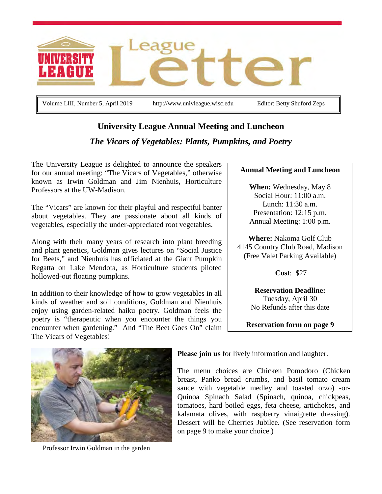

Volume LIII, Number 5, April 2019 http://www.univleague.wisc.edu Editor: Betty Shuford Zeps

# **University League Annual Meeting and Luncheon**

# *The Vicars of Vegetables: Plants, Pumpkins, and Poetry*

The University League is delighted to announce the speakers for our annual meeting: "The Vicars of Vegetables," otherwise known as Irwin Goldman and Jim Nienhuis, Horticulture Professors at the UW-Madison.

The "Vicars" are known for their playful and respectful banter about vegetables. They are passionate about all kinds of vegetables, especially the under-appreciated root vegetables.

Along with their many years of research into plant breeding and plant genetics, Goldman gives lectures on "Social Justice for Beets," and Nienhuis has officiated at the Giant Pumpkin Regatta on Lake Mendota, as Horticulture students piloted hollowed-out floating pumpkins.

In addition to their knowledge of how to grow vegetables in all kinds of weather and soil conditions, Goldman and Nienhuis enjoy using garden-related haiku poetry. Goldman feels the poetry is "therapeutic when you encounter the things you encounter when gardening." And "The Beet Goes On" claim The Vicars of Vegetables!

#### **Annual Meeting and Luncheon**

**When:** Wednesday, May 8 Social Hour: 11:00 a.m. Lunch: 11:30 a.m. Presentation: 12:15 p.m. Annual Meeting: 1:00 p.m.

**Where:** Nakoma Golf Club 4145 Country Club Road, Madison (Free Valet Parking Available)

**Cost**: \$27

**Reservation Deadline:** Tuesday, April 30 No Refunds after this date

**Reservation form on page 9**



Professor Irwin Goldman in the garden

**Please join us** for lively information and laughter.

The menu choices are Chicken Pomodoro (Chicken breast, Panko bread crumbs, and basil tomato cream sauce with vegetable medley and toasted orzo) -or-Quinoa Spinach Salad (Spinach, quinoa, chickpeas, tomatoes, hard boiled eggs, feta cheese, artichokes, and kalamata olives, with raspberry vinaigrette dressing). Dessert will be Cherries Jubilee. (See reservation form on page 9 to make your choice.)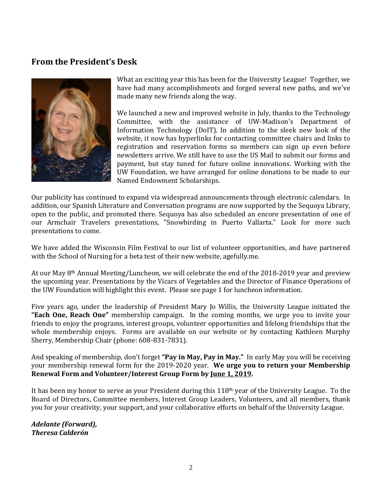## **From the President's Desk**



What an exciting year this has been for the University League! Together, we have had many accomplishments and forged several new paths, and we've made many new friends along the way.

We launched a new and improved website in July, thanks to the Technology Committee, with the assistance of UW-Madison's Department of Information Technology (DoIT). In addition to the sleek new look of the website, it now has hyperlinks for contacting committee chairs and links to registration and reservation forms so members can sign up even before newsletters arrive. We still have to use the US Mail to submit our forms and payment, but stay tuned for future online innovations. Working with the UW Foundation, we have arranged for online donations to be made to our Named Endowment Scholarships.

Our publicity has continued to expand via widespread announcements through electronic calendars. In addition, our Spanish Literature and Conversation programs are now supported by the Sequoya Library, open to the public, and promoted there. Sequoya has also scheduled an encore presentation of one of our Armchair Travelers presentations, "Snowbirding in Puerto Vallarta." Look for more such presentations to come.

We have added the Wisconsin Film Festival to our list of volunteer opportunities, and have partnered with the School of Nursing for a beta test of their new website, agefully.me.

At our May 8th Annual Meeting/Luncheon, we will celebrate the end of the 2018-2019 year and preview the upcoming year. Presentations by the Vicars of Vegetables and the Director of Finance Operations of the UW Foundation will highlight this event. Please see page 1 for luncheon information.

Five years ago, under the leadership of President Mary Jo Willis, the University League initiated the **"Each One, Reach One"** membership campaign. In the coming months, we urge you to invite your friends to enjoy the programs, interest groups, volunteer opportunities and lifelong friendships that the whole membership enjoys. Forms are available on our website or by contacting Kathleen Murphy Sherry, Membership Chair (phone: 608-831-7831).

And speaking of membership, don't forget **"Pay in May, Pay in May."** In early May you will be receiving your membership renewal form for the 2019-2020 year. **We urge you to return your Membership Renewal Form and Volunteer/Interest Group Form by June 1, 2019.**

It has been my honor to serve as your President during this 118<sup>th</sup> year of the University League. To the Board of Directors, Committee members, Interest Group Leaders, Volunteers, and all members, thank you for your creativity, your support, and your collaborative efforts on behalf of the University League.

*Adelante (Forward), Theresa Calderón*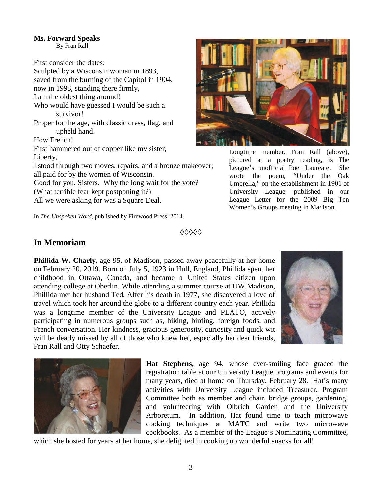### **Ms. Forward Speaks**

By Fran Rall

First consider the dates:

Sculpted by a Wisconsin woman in 1893, saved from the burning of the Capitol in 1904, now in 1998, standing there firmly, I am the oldest thing around! Who would have guessed I would be such a survivor! Proper for the age, with classic dress, flag, and upheld hand. How French! First hammered out of copper like my sister, Liberty, I stood through two moves, repairs, and a bronze makeover; all paid for by the women of Wisconsin. Good for you, Sisters. Why the long wait for the vote? (What terrible fear kept postponing it?)

All we were asking for was a Square Deal.

In *The Unspoken Word,* published by Firewood Press, 2014.

#### **◊◊◊◊◊**

### **In Memoriam**

**Phillida W. Charly,** age 95, of Madison, passed away peacefully at her home on February 20, 2019. Born on July 5, 1923 in Hull, England, Phillida spent her childhood in Ottawa, Canada, and became a United States citizen upon attending college at Oberlin. While attending a summer course at UW Madison, Phillida met her husband Ted. After his death in 1977, she discovered a love of travel which took her around the globe to a different country each year. Phillida was a longtime member of the University League and PLATO, actively participating in numerous groups such as, hiking, birding, foreign foods, and French conversation. Her kindness, gracious generosity, curiosity and quick wit will be dearly missed by all of those who knew her, especially her dear friends, Fran Rall and Otty Schaefer.





**Hat Stephens,** age 94, whose ever-smiling face graced the registration table at our University League programs and events for many years, died at home on Thursday, February 28. Hat's many activities with University League included Treasurer, Program Committee both as member and chair, bridge groups, gardening, and volunteering with Olbrich Garden and the University Arboretum. In addition, Hat found time to teach microwave cooking techniques at MATC and write two microwave cookbooks. As a member of the League's Nominating Committee,

which she hosted for years at her home, she delighted in cooking up wonderful snacks for all!



Longtime member, Fran Rall (above), pictured at a poetry reading, is The League's unofficial Poet Laureate. She wrote the poem, "Under the Oak Umbrella," on the establishment in 1901 of University League, published in our League Letter for the 2009 Big Ten Women's Groups meeting in Madison.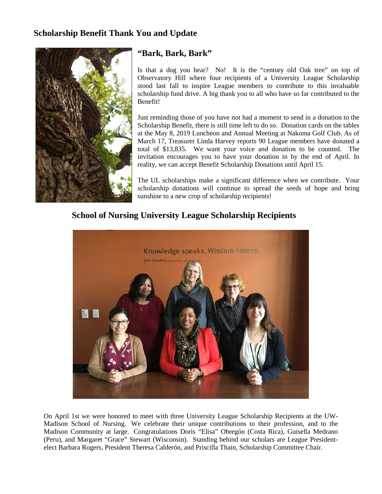## **Scholarship Benefit Thank You and Update**



### **"Bark, Bark, Bark"**

Is that a dog you hear? No! It is the "century old Oak tree" on top of Observatory Hill where four recipients of a University League Scholarship stood last fall to inspire League members to contribute to this invaluable scholarship fund drive. A big thank you to all who have so far contributed to the Benefit!

Just reminding those of you have not had a moment to send in a donation to the Scholarship Benefit, there is still time left to do so. Donation cards on the tables at the May 8, 2019 Luncheon and Annual Meeting at Nakoma Golf Club. As of March 17, Treasurer Linda Harvey reports 90 League members have donated a total of \$13,835. We want your voice and donation to be counted. The invitation encourages you to have your donation in by the end of April. In reality, we can accept Benefit Scholarship Donations until April 15.

The UL scholarships make a significant difference when we contribute. Your scholarship donations will continue to spread the seeds of hope and bring sunshine to a new crop of scholarship recipients!

# **School of Nursing University League Scholarship Recipients**



On April 1st we were honored to meet with three University League Scholarship Recipients at the UW-Madison School of Nursing. We celebrate their unique contributions to their profession, and to the Madison Community at large. Congratulations Doris "Elisa" Obregón (Costa Rica), Guisella Medrano (Peru), and Margaret "Grace" Stewart (Wisconsin). Standing behind our scholars are League Presidentelect Barbara Rogers, President Theresa Calderón, and Priscilla Thain, Scholarship Committee Chair.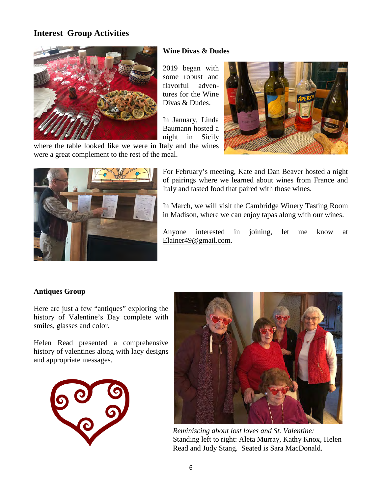# **Interest Group Activities**



#### **Wine Divas & Dudes**

2019 began with some robust and flavorful adventures for the Wine Divas & Dudes.

In January, Linda Baumann hosted a night in Sicily

where the table looked like we were in Italy and the wines were a great complement to the rest of the meal.



For February's meeting, Kate and Dan Beaver hosted a night of pairings where we learned about wines from France and Italy and tasted food that paired with those wines.

In March, we will visit the Cambridge Winery Tasting Room in Madison, where we can enjoy tapas along with our wines.

Anyone interested in joining, let me know at [Elainer49@gmail.com](mailto:Elainer49@gmail.com).

#### **Antiques Group**

Here are just a few "antiques" exploring the history of Valentine's Day complete with smiles, glasses and color.

Helen Read presented a comprehensive history of valentines along with lacy designs and appropriate messages.





*Reminiscing about lost loves and St. Valentine:* Standing left to right: Aleta Murray, Kathy Knox, Helen Read and Judy Stang. Seated is Sara MacDonald.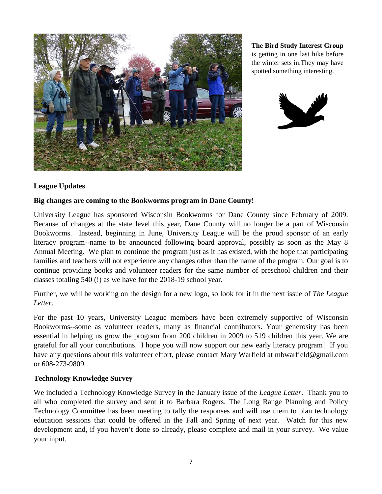

**The Bird Study Interest Group** is getting in one last hike before the winter sets in.They may have spotted something interesting.



### **League Updates**

### **Big changes are coming to the Bookworms program in Dane County!**

University League has sponsored Wisconsin Bookworms for Dane County since February of 2009. Because of changes at the state level this year, Dane County will no longer be a part of Wisconsin Bookworms. Instead, beginning in June, University League will be the proud sponsor of an early literacy program--name to be announced following board approval, possibly as soon as the May 8 Annual Meeting. We plan to continue the program just as it has existed, with the hope that participating families and teachers will not experience any changes other than the name of the program. Our goal is to continue providing books and volunteer readers for the same number of preschool children and their classes totaling 540 (!) as we have for the 2018-19 school year.

Further, we will be working on the design for a new logo, so look for it in the next issue of *The League Letter*.

For the past 10 years, University League members have been extremely supportive of Wisconsin Bookworms--some as volunteer readers, many as financial contributors. Your generosity has been essential in helping us grow the program from 200 children in 2009 to 519 children this year. We are grateful for all your contributions. I hope you will now support our new early literacy program! If you have any questions about this volunteer effort, please contact Mary Warfield at [mbwarfield@gmail.com](mailto:mbwarfield@gmail.com) or 608-273-9809.

#### **Technology Knowledge Survey**

We included a Technology Knowledge Survey in the January issue of the *League Letter*. Thank you to all who completed the survey and sent it to Barbara Rogers. The Long Range Planning and Policy Technology Committee has been meeting to tally the responses and will use them to plan technology education sessions that could be offered in the Fall and Spring of next year. Watch for this new development and, if you haven't done so already, please complete and mail in your survey. We value your input.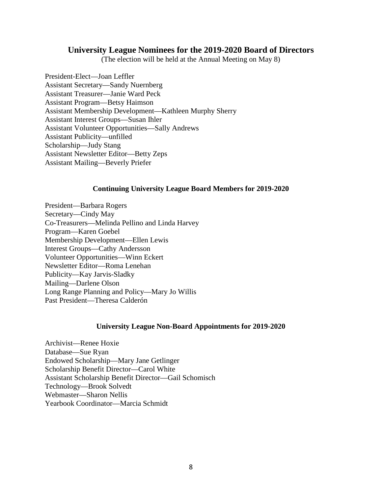### **University League Nominees for the 2019-2020 Board of Directors**

(The election will be held at the Annual Meeting on May 8)

President-Elect—Joan Leffler Assistant Secretary—Sandy Nuernberg Assistant Treasurer—Janie Ward Peck Assistant Program—Betsy Haimson Assistant Membership Development—Kathleen Murphy Sherry Assistant Interest Groups—Susan Ihler Assistant Volunteer Opportunities—Sally Andrews Assistant Publicity—unfilled Scholarship—Judy Stang Assistant Newsletter Editor—Betty Zeps Assistant Mailing—Beverly Priefer

#### **Continuing University League Board Members for 2019-2020**

President—Barbara Rogers Secretary—Cindy May Co-Treasurers—Melinda Pellino and Linda Harvey Program—Karen Goebel Membership Development—Ellen Lewis Interest Groups—Cathy Andersson Volunteer Opportunities—Winn Eckert Newsletter Editor—Roma Lenehan Publicity—Kay Jarvis-Sladky Mailing—Darlene Olson Long Range Planning and Policy—Mary Jo Willis Past President—Theresa Calderón

#### **University League Non-Board Appointments for 2019-2020**

Archivist—Renee Hoxie Database—Sue Ryan Endowed Scholarship—Mary Jane Getlinger Scholarship Benefit Director—Carol White Assistant Scholarship Benefit Director—Gail Schomisch Technology—Brook Solvedt Webmaster—Sharon Nellis Yearbook Coordinator—Marcia Schmidt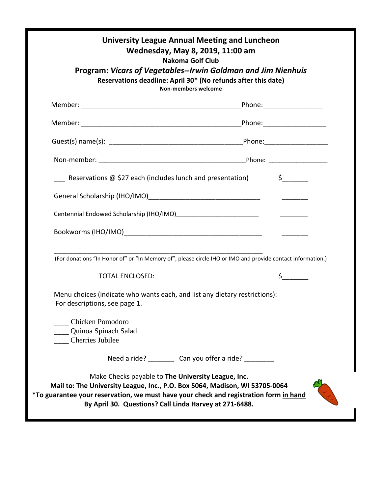| <b>Nakoma Golf Club</b><br>Program: Vicars of Vegetables--Irwin Goldman and Jim Nienhuis<br>Reservations deadline: April 30* (No refunds after this date)<br><b>Non-members welcome</b>                                                                                              |                                                        |                        |
|--------------------------------------------------------------------------------------------------------------------------------------------------------------------------------------------------------------------------------------------------------------------------------------|--------------------------------------------------------|------------------------|
|                                                                                                                                                                                                                                                                                      |                                                        |                        |
|                                                                                                                                                                                                                                                                                      |                                                        |                        |
|                                                                                                                                                                                                                                                                                      |                                                        |                        |
|                                                                                                                                                                                                                                                                                      |                                                        |                        |
| <b>EXECUTE:</b> Reservations $\omega$ \$27 each (includes lunch and presentation)                                                                                                                                                                                                    |                                                        | $\sharp$ and $\sharp$  |
|                                                                                                                                                                                                                                                                                      |                                                        | <u>___________</u> ___ |
|                                                                                                                                                                                                                                                                                      |                                                        |                        |
|                                                                                                                                                                                                                                                                                      |                                                        |                        |
| (For donations "In Honor of" or "In Memory of", please circle IHO or IMO and provide contact information.)                                                                                                                                                                           |                                                        |                        |
| <b>TOTAL ENCLOSED:</b>                                                                                                                                                                                                                                                               |                                                        | $\zeta$ and $\zeta$    |
| Menu choices (indicate who wants each, and list any dietary restrictions):<br>For descriptions, see page 1.                                                                                                                                                                          |                                                        |                        |
| <b>Chicken Pomodoro</b><br>Quinoa Spinach Salad<br><b>Cherries Jubilee</b>                                                                                                                                                                                                           |                                                        |                        |
|                                                                                                                                                                                                                                                                                      | Need a ride? __________ Can you offer a ride? ________ |                        |
| Make Checks payable to The University League, Inc.<br>Mail to: The University League, Inc., P.O. Box 5064, Madison, WI 53705-0064<br>*To guarantee your reservation, we must have your check and registration form in hand<br>By April 30. Questions? Call Linda Harvey at 271-6488. |                                                        |                        |